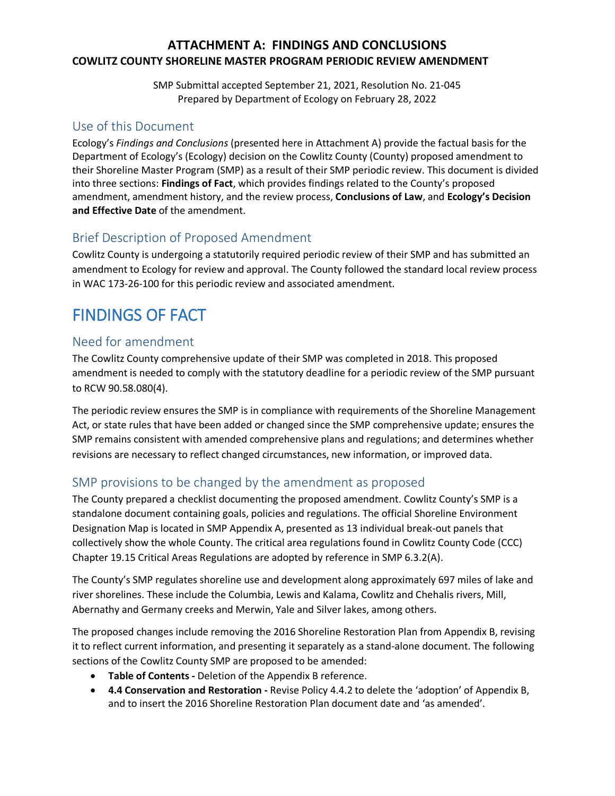## **ATTACHMENT A: FINDINGS AND CONCLUSIONS COWLITZ COUNTY SHORELINE MASTER PROGRAM PERIODIC REVIEW AMENDMENT**

SMP Submittal accepted September 21, 2021, Resolution No. 21-045 Prepared by Department of Ecology on February 28, 2022

## Use of this Document

Ecology's *Findings and Conclusions* (presented here in Attachment A) provide the factual basis for the Department of Ecology's (Ecology) decision on the Cowlitz County (County) proposed amendment to their Shoreline Master Program (SMP) as a result of their SMP periodic review. This document is divided into three sections: **Findings of Fact**, which provides findings related to the County's proposed amendment, amendment history, and the review process, **Conclusions of Law**, and **Ecology's Decision and Effective Date** of the amendment.

## Brief Description of Proposed Amendment

Cowlitz County is undergoing a statutorily required periodic review of their SMP and has submitted an amendment to Ecology for review and approval. The County followed the standard local review process in WAC 173-26-100 for this periodic review and associated amendment.

## FINDINGS OF FACT

## Need for amendment

The Cowlitz County comprehensive update of their SMP was completed in 2018. This proposed amendment is needed to comply with the statutory deadline for a periodic review of the SMP pursuant to RCW 90.58.080(4).

The periodic review ensures the SMP is in compliance with requirements of the Shoreline Management Act, or state rules that have been added or changed since the SMP comprehensive update; ensures the SMP remains consistent with amended comprehensive plans and regulations; and determines whether revisions are necessary to reflect changed circumstances, new information, or improved data.

## SMP provisions to be changed by the amendment as proposed

The County prepared a checklist documenting the proposed amendment. Cowlitz County's SMP is a standalone document containing goals, policies and regulations. The official Shoreline Environment Designation Map is located in SMP Appendix A, presented as 13 individual break-out panels that collectively show the whole County. The critical area regulations found in Cowlitz County Code (CCC) Chapter 19.15 Critical Areas Regulations are adopted by reference in SMP 6.3.2(A).

The County's SMP regulates shoreline use and development along approximately 697 miles of lake and river shorelines. These include the Columbia, Lewis and Kalama, Cowlitz and Chehalis rivers, Mill, Abernathy and Germany creeks and Merwin, Yale and Silver lakes, among others.

The proposed changes include removing the 2016 Shoreline Restoration Plan from Appendix B, revising it to reflect current information, and presenting it separately as a stand-alone document. The following sections of the Cowlitz County SMP are proposed to be amended:

- **Table of Contents -** Deletion of the Appendix B reference.
- **4.4 Conservation and Restoration -** Revise Policy 4.4.2 to delete the 'adoption' of Appendix B, and to insert the 2016 Shoreline Restoration Plan document date and 'as amended'.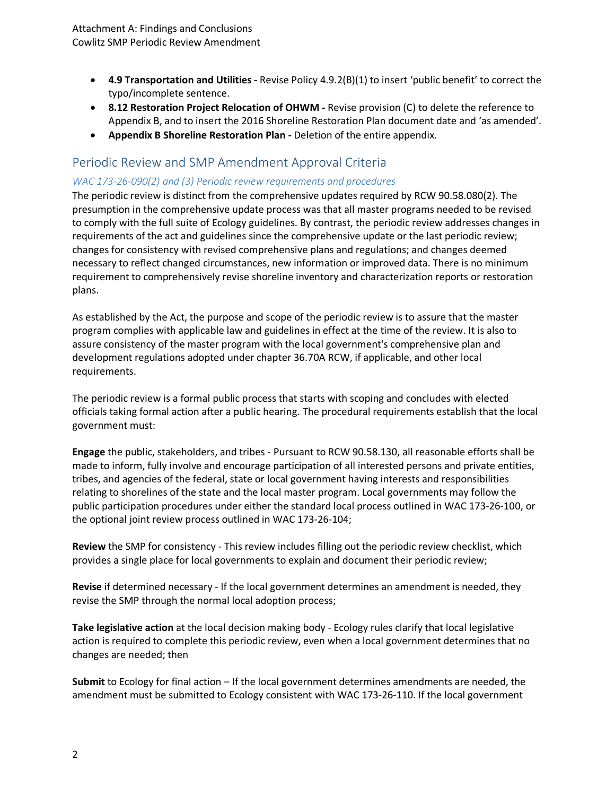- **4.9 Transportation and Utilities -** Revise Policy 4.9.2(B)(1) to insert 'public benefit' to correct the typo/incomplete sentence.
- **8.12 Restoration Project Relocation of OHWM -** Revise provision (C) to delete the reference to Appendix B, and to insert the 2016 Shoreline Restoration Plan document date and 'as amended'.
- **Appendix B Shoreline Restoration Plan -** Deletion of the entire appendix.

## Periodic Review and SMP Amendment Approval Criteria

#### *WAC 173-26-090(2) and (3) Periodic review requirements and procedures*

The periodic review is distinct from the comprehensive updates required by RCW 90.58.080(2). The presumption in the comprehensive update process was that all master programs needed to be revised to comply with the full suite of Ecology guidelines. By contrast, the periodic review addresses changes in requirements of the act and guidelines since the comprehensive update or the last periodic review; changes for consistency with revised comprehensive plans and regulations; and changes deemed necessary to reflect changed circumstances, new information or improved data. There is no minimum requirement to comprehensively revise shoreline inventory and characterization reports or restoration plans.

As established by the Act, the purpose and scope of the periodic review is to assure that the master program complies with applicable law and guidelines in effect at the time of the review. It is also to assure consistency of the master program with the local government's comprehensive plan and development regulations adopted under chapter 36.70A RCW, if applicable, and other local requirements.

The periodic review is a formal public process that starts with scoping and concludes with elected officials taking formal action after a public hearing. The procedural requirements establish that the local government must:

**Engage** the public, stakeholders, and tribes - Pursuant to RCW 90.58.130, all reasonable efforts shall be made to inform, fully involve and encourage participation of all interested persons and private entities, tribes, and agencies of the federal, state or local government having interests and responsibilities relating to shorelines of the state and the local master program. Local governments may follow the public participation procedures under either the standard local process outlined in WAC 173-26-100, or the optional joint review process outlined in WAC 173-26-104;

**Review** the SMP for consistency - This review includes filling out the periodic review checklist, which provides a single place for local governments to explain and document their periodic review;

**Revise** if determined necessary - If the local government determines an amendment is needed, they revise the SMP through the normal local adoption process;

**Take legislative action** at the local decision making body - Ecology rules clarify that local legislative action is required to complete this periodic review, even when a local government determines that no changes are needed; then

**Submit** to Ecology for final action – If the local government determines amendments are needed, the amendment must be submitted to Ecology consistent with WAC 173-26-110. If the local government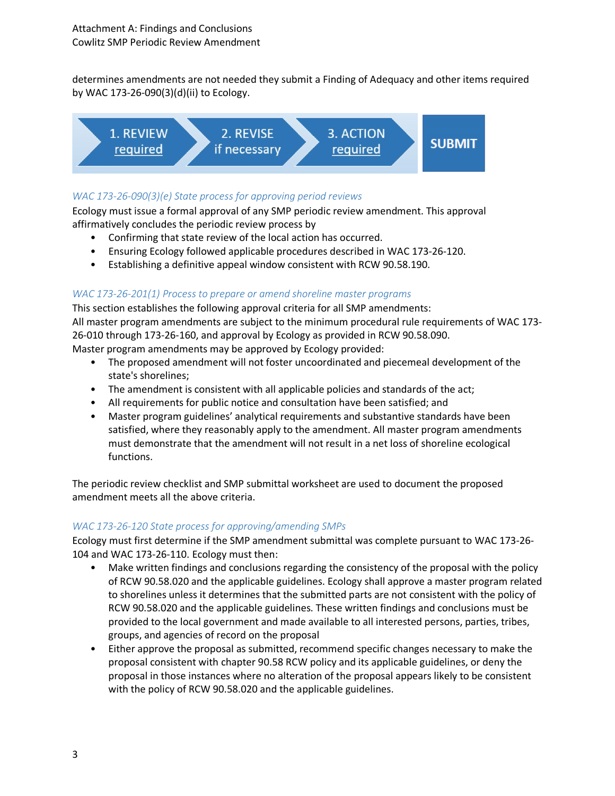determines amendments are not needed they submit a Finding of Adequacy and other items required by WAC 173-26-090(3)(d)(ii) to Ecology.



### *WAC 173-26-090(3)(e) State process for approving period reviews*

Ecology must issue a formal approval of any SMP periodic review amendment. This approval affirmatively concludes the periodic review process by

- Confirming that state review of the local action has occurred.
- Ensuring Ecology followed applicable procedures described in WAC 173-26-120.
- Establishing a definitive appeal window consistent with RCW 90.58.190.

#### *WAC 173-26-201(1) Process to prepare or amend shoreline master programs*

This section establishes the following approval criteria for all SMP amendments: All master program amendments are subject to the minimum procedural rule requirements of WAC 173- 26-010 through 173-26-160, and approval by Ecology as provided in RCW 90.58.090. Master program amendments may be approved by Ecology provided:

- The proposed amendment will not foster uncoordinated and piecemeal development of the state's shorelines;
- The amendment is consistent with all applicable policies and standards of the act;
- All requirements for public notice and consultation have been satisfied; and
- Master program guidelines' analytical requirements and substantive standards have been satisfied, where they reasonably apply to the amendment. All master program amendments must demonstrate that the amendment will not result in a net loss of shoreline ecological functions.

The periodic review checklist and SMP submittal worksheet are used to document the proposed amendment meets all the above criteria.

#### *WAC 173-26-120 State process for approving/amending SMPs*

Ecology must first determine if the SMP amendment submittal was complete pursuant to WAC 173-26- 104 and WAC 173-26-110. Ecology must then:

- Make written findings and conclusions regarding the consistency of the proposal with the policy of RCW 90.58.020 and the applicable guidelines. Ecology shall approve a master program related to shorelines unless it determines that the submitted parts are not consistent with the policy of RCW 90.58.020 and the applicable guidelines. These written findings and conclusions must be provided to the local government and made available to all interested persons, parties, tribes, groups, and agencies of record on the proposal
- Either approve the proposal as submitted, recommend specific changes necessary to make the proposal consistent with chapter 90.58 RCW policy and its applicable guidelines, or deny the proposal in those instances where no alteration of the proposal appears likely to be consistent with the policy of RCW 90.58.020 and the applicable guidelines.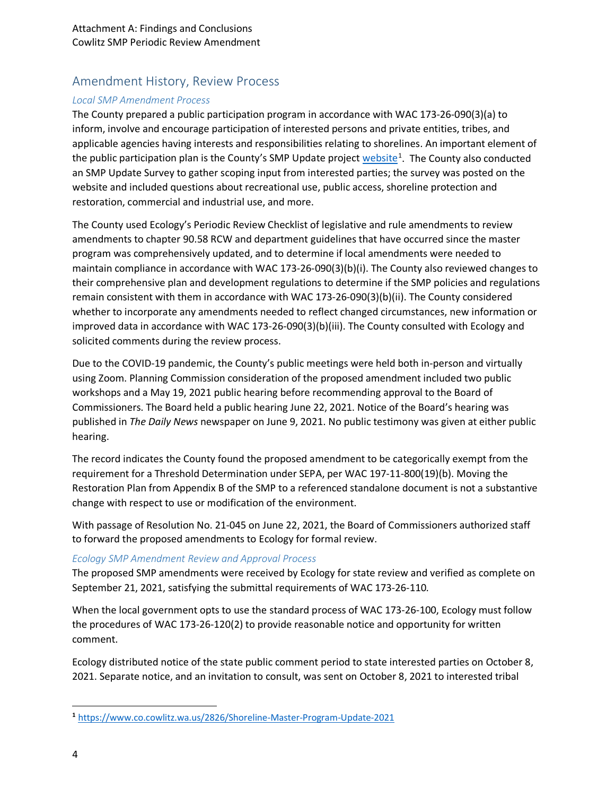## Amendment History, Review Process

#### *Local SMP Amendment Process*

The County prepared a public participation program in accordance with WAC 173-26-090(3)(a) to inform, involve and encourage participation of interested persons and private entities, tribes, and applicable agencies having interests and responsibilities relating to shorelines. An important element of the public participation plan is the County's SMP Update project [website](https://www.co.cowlitz.wa.us/2826/Shoreline-Master-Program-Update-2021)<sup>[1](#page-3-0)</sup>. The County also conducted an SMP Update Survey to gather scoping input from interested parties; the survey was posted on the website and included questions about recreational use, public access, shoreline protection and restoration, commercial and industrial use, and more.

The County used Ecology's Periodic Review Checklist of legislative and rule amendments to review amendments to chapter 90.58 RCW and department guidelines that have occurred since the master program was comprehensively updated, and to determine if local amendments were needed to maintain compliance in accordance with WAC 173-26-090(3)(b)(i). The County also reviewed changes to their comprehensive plan and development regulations to determine if the SMP policies and regulations remain consistent with them in accordance with WAC 173-26-090(3)(b)(ii). The County considered whether to incorporate any amendments needed to reflect changed circumstances, new information or improved data in accordance with WAC 173-26-090(3)(b)(iii). The County consulted with Ecology and solicited comments during the review process.

Due to the COVID-19 pandemic, the County's public meetings were held both in-person and virtually using Zoom. Planning Commission consideration of the proposed amendment included two public workshops and a May 19, 2021 public hearing before recommending approval to the Board of Commissioners. The Board held a public hearing June 22, 2021. Notice of the Board's hearing was published in *The Daily News* newspaper on June 9, 2021. No public testimony was given at either public hearing.

The record indicates the County found the proposed amendment to be categorically exempt from the requirement for a Threshold Determination under SEPA, per WAC 197-11-800(19)(b). Moving the Restoration Plan from Appendix B of the SMP to a referenced standalone document is not a substantive change with respect to use or modification of the environment.

With passage of Resolution No. 21-045 on June 22, 2021, the Board of Commissioners authorized staff to forward the proposed amendments to Ecology for formal review.

#### *Ecology SMP Amendment Review and Approval Process*

The proposed SMP amendments were received by Ecology for state review and verified as complete on September 21, 2021, satisfying the submittal requirements of WAC 173-26-110*.*

When the local government opts to use the standard process of WAC 173-26-100, Ecology must follow the procedures of WAC 173-26-120(2) to provide reasonable notice and opportunity for written comment.

Ecology distributed notice of the state public comment period to state interested parties on October 8, 2021. Separate notice, and an invitation to consult, was sent on October 8, 2021 to interested tribal

 $\overline{\phantom{a}}$ 

<span id="page-3-0"></span>**<sup>1</sup>** <https://www.co.cowlitz.wa.us/2826/Shoreline-Master-Program-Update-2021>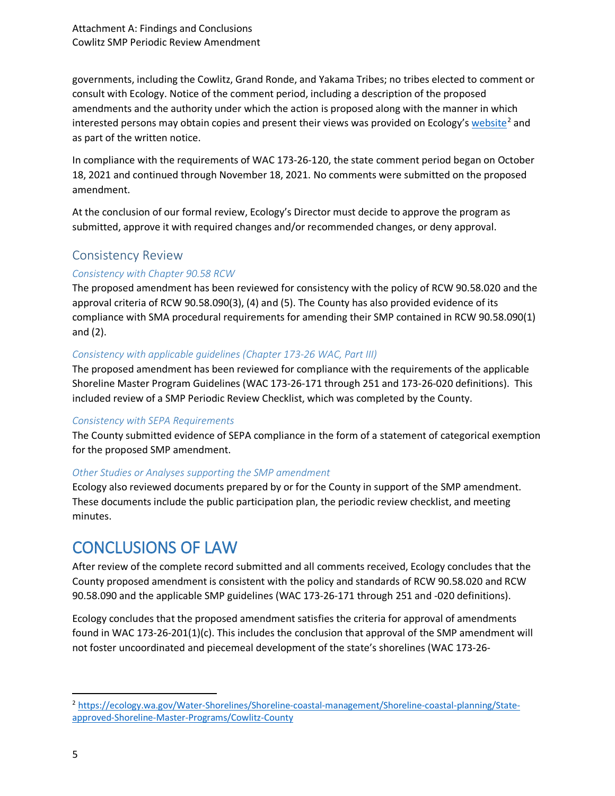governments, including the Cowlitz, Grand Ronde, and Yakama Tribes; no tribes elected to comment or consult with Ecology. Notice of the comment period, including a description of the proposed amendments and the authority under which the action is proposed along with the manner in which interested persons may obtain copies and present their views was provided on Ecology's  ${website}^2$  ${website}^2$  and as part of the written notice.

In compliance with the requirements of WAC 173-26-120, the state comment period began on October 18, 2021 and continued through November 18, 2021. No comments were submitted on the proposed amendment.

At the conclusion of our formal review, Ecology's Director must decide to approve the program as submitted, approve it with required changes and/or recommended changes, or deny approval.

## Consistency Review

### *Consistency with Chapter 90.58 RCW*

The proposed amendment has been reviewed for consistency with the policy of RCW 90.58.020 and the approval criteria of RCW 90.58.090(3), (4) and (5). The County has also provided evidence of its compliance with SMA procedural requirements for amending their SMP contained in RCW 90.58.090(1) and (2).

#### *Consistency with applicable guidelines (Chapter 173-26 WAC, Part III)*

The proposed amendment has been reviewed for compliance with the requirements of the applicable Shoreline Master Program Guidelines (WAC 173-26-171 through 251 and 173-26-020 definitions). This included review of a SMP Periodic Review Checklist, which was completed by the County.

#### *Consistency with SEPA Requirements*

The County submitted evidence of SEPA compliance in the form of a statement of categorical exemption for the proposed SMP amendment.

#### *Other Studies or Analyses supporting the SMP amendment*

Ecology also reviewed documents prepared by or for the County in support of the SMP amendment. These documents include the public participation plan, the periodic review checklist, and meeting minutes.

## CONCLUSIONS OF LAW

After review of the complete record submitted and all comments received, Ecology concludes that the County proposed amendment is consistent with the policy and standards of RCW 90.58.020 and RCW 90.58.090 and the applicable SMP guidelines (WAC 173-26-171 through 251 and -020 definitions).

Ecology concludes that the proposed amendment satisfies the criteria for approval of amendments found in WAC 173-26-201(1)(c). This includes the conclusion that approval of the SMP amendment will not foster uncoordinated and piecemeal development of the state's shorelines (WAC 173-26-

<span id="page-4-0"></span> <sup>2</sup> [https://ecology.wa.gov/Water-Shorelines/Shoreline-coastal-management/Shoreline-coastal-planning/State](https://ecology.wa.gov/Water-Shorelines/Shoreline-coastal-management/Shoreline-coastal-planning/State-approved-Shoreline-Master-Programs/Cowlitz-County)[approved-Shoreline-Master-Programs/Cowlitz-County](https://ecology.wa.gov/Water-Shorelines/Shoreline-coastal-management/Shoreline-coastal-planning/State-approved-Shoreline-Master-Programs/Cowlitz-County)